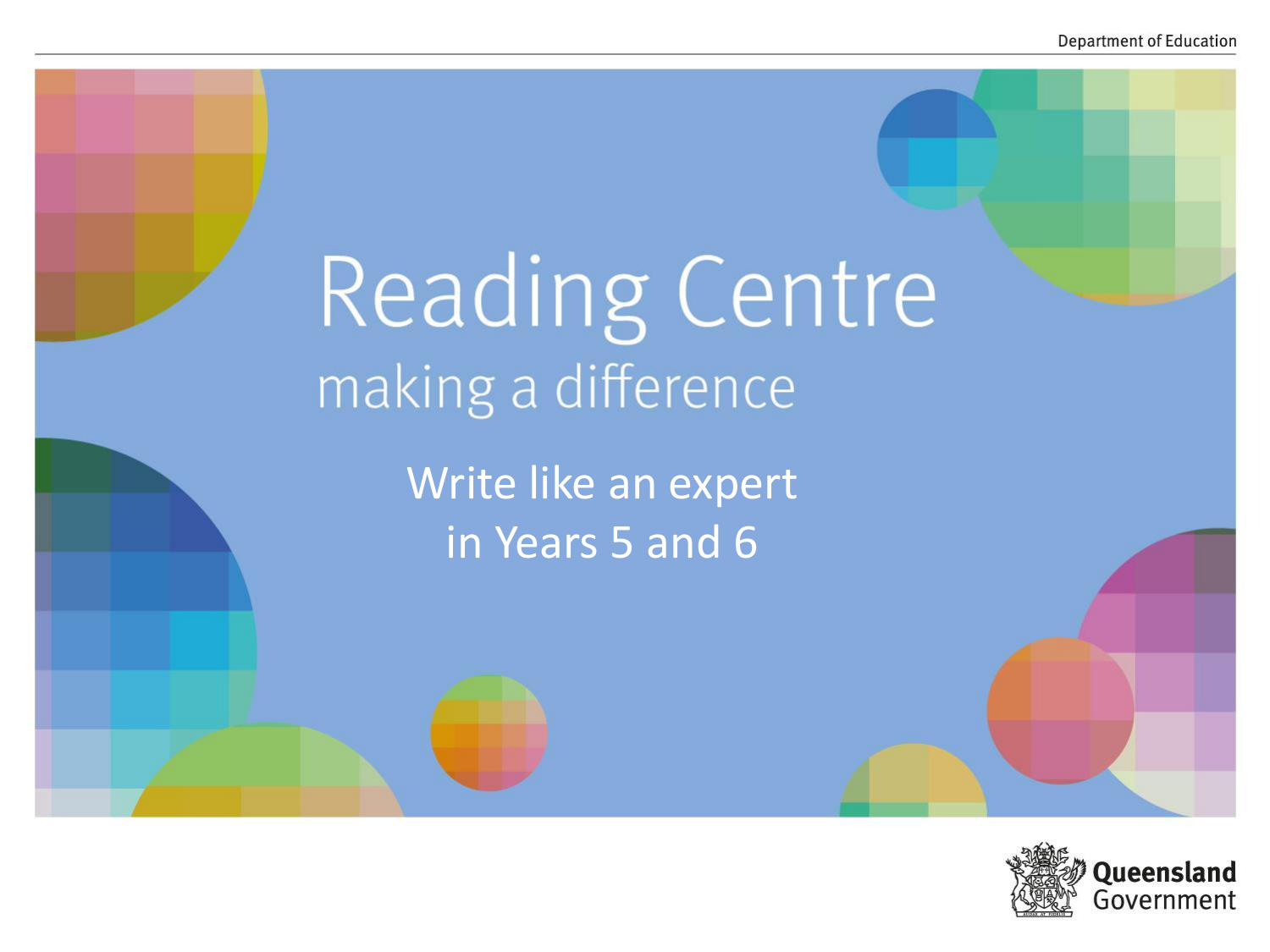# Reading Centre making a difference

Write like an expert in Years 5 and 6

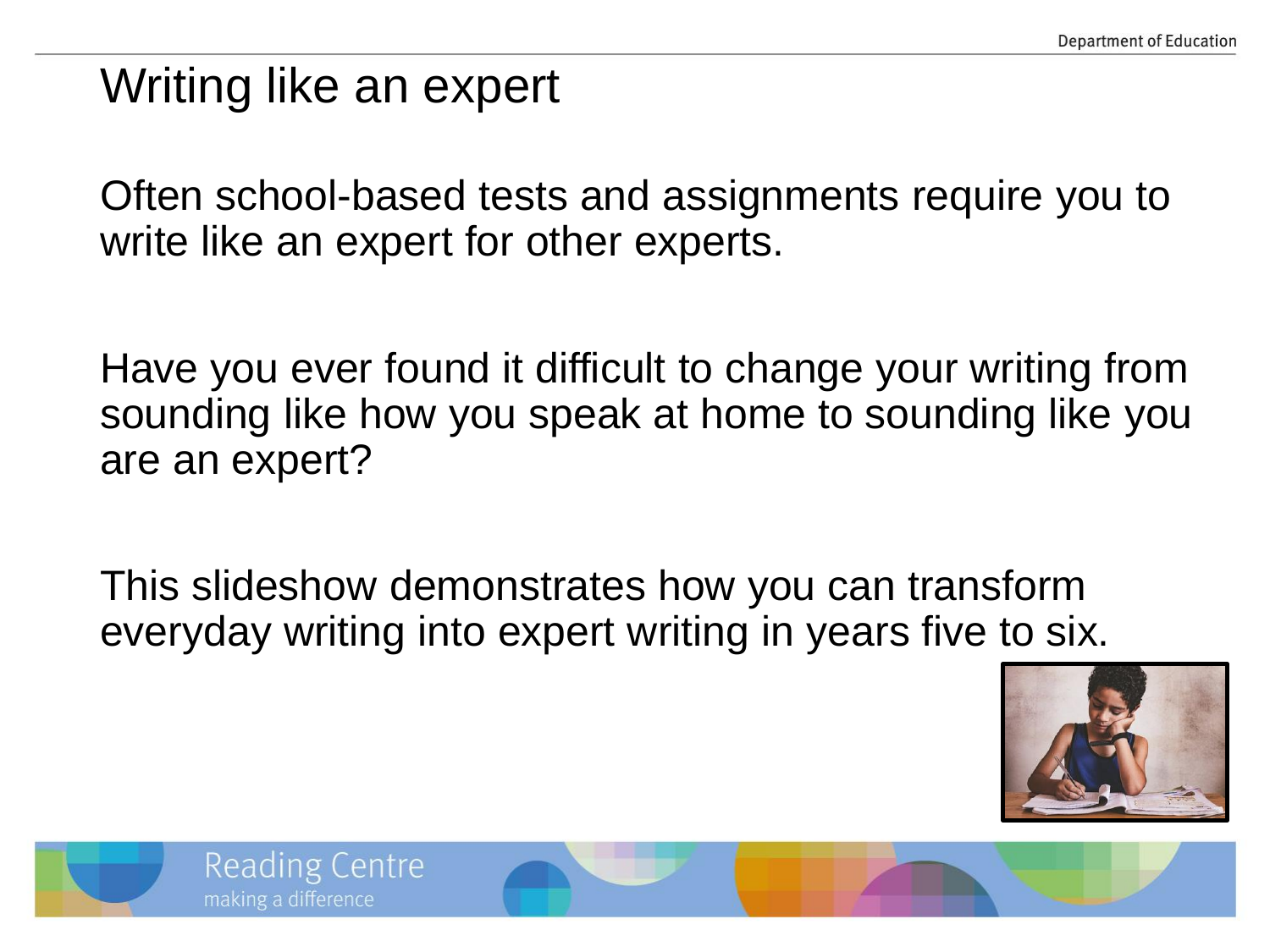## Writing like an expert

**Reading Centre** 

making a difference

Often school-based tests and assignments require you to write like an expert for other experts.

Have you ever found it difficult to change your writing from sounding like how you speak at home to sounding like you are an expert?

This slideshow demonstrates how you can transform everyday writing into expert writing in years five to six.



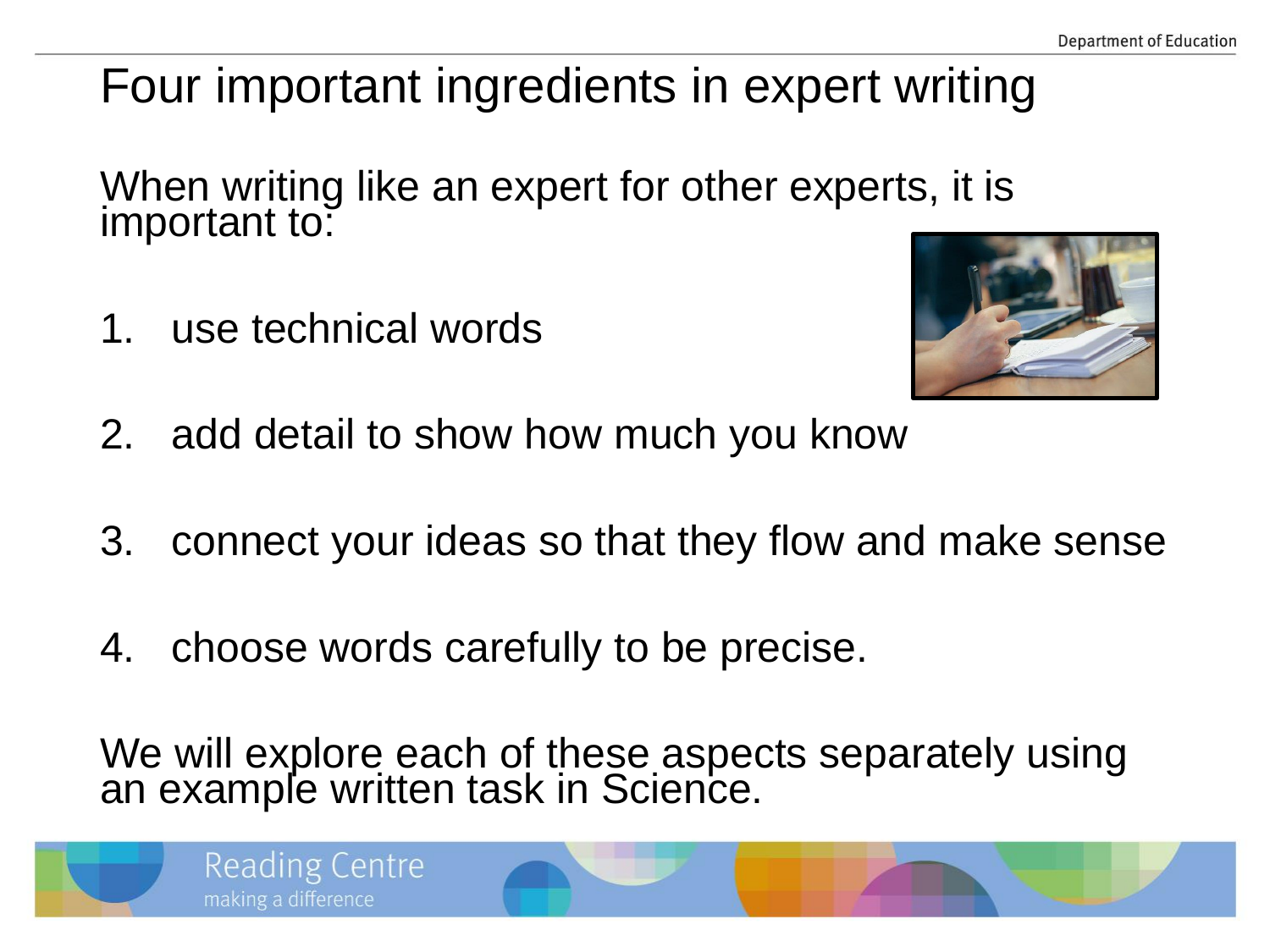## Four important ingredients in expert writing

When writing like an expert for other experts, it is important to:

1. use technical words



- 2. add detail to show how much you know
- 3. connect your ideas so that they flow and make sense
- 4. choose words carefully to be precise.

We will explore each of these aspects separately using an example written task in Science.

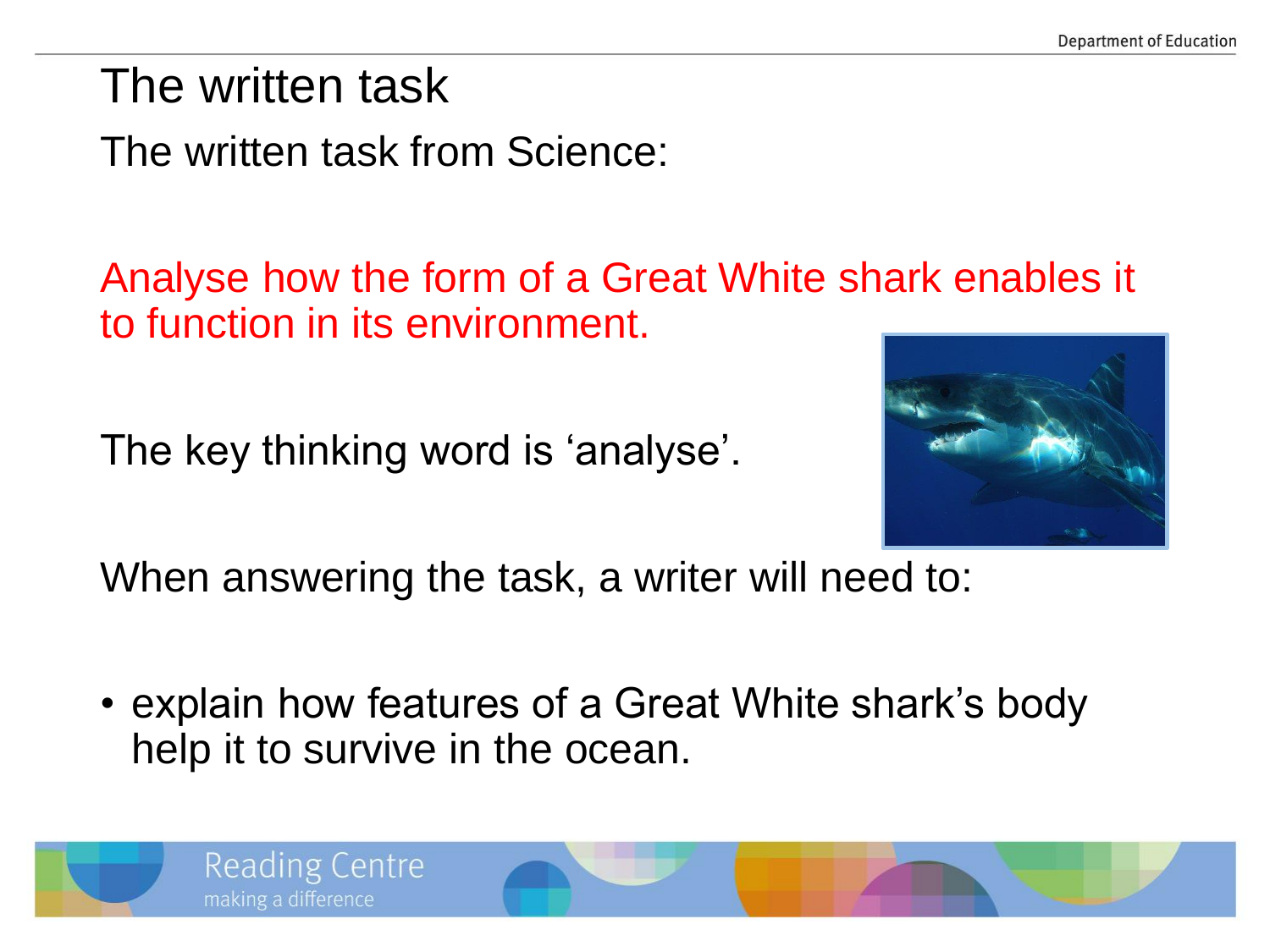The written task

The written task from Science:

Analyse how the form of a Great White shark enables it to function in its environment.

The key thinking word is 'analyse'.



When answering the task, a writer will need to:

• explain how features of a Great White shark's body help it to survive in the ocean.

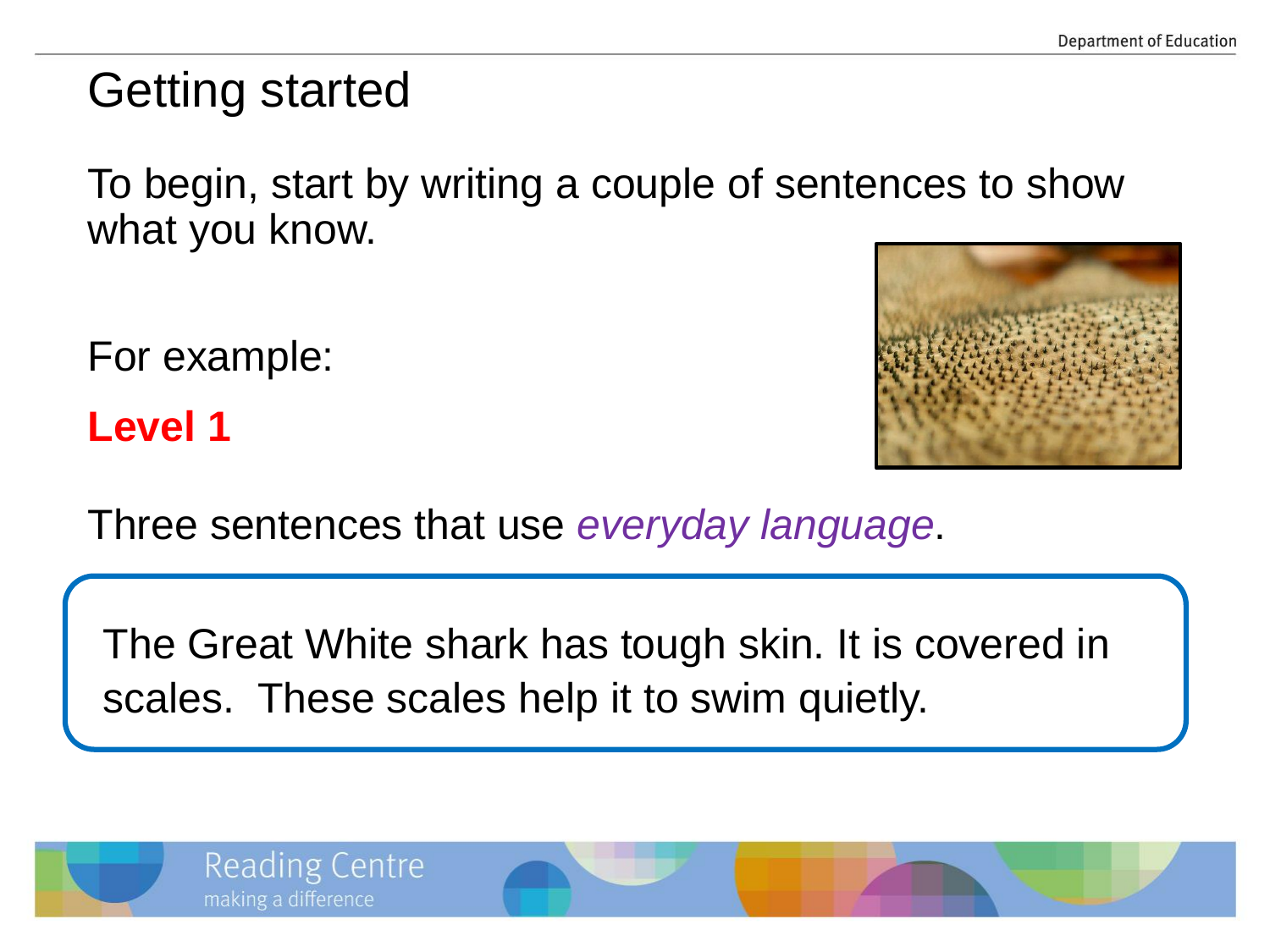## Getting started

To begin, start by writing a couple of sentences to show what you know.

For example:

**Level 1**



Three sentences that use *everyday language*.

The Great White shark has tough skin. It is covered in scales. These scales help it to swim quietly.

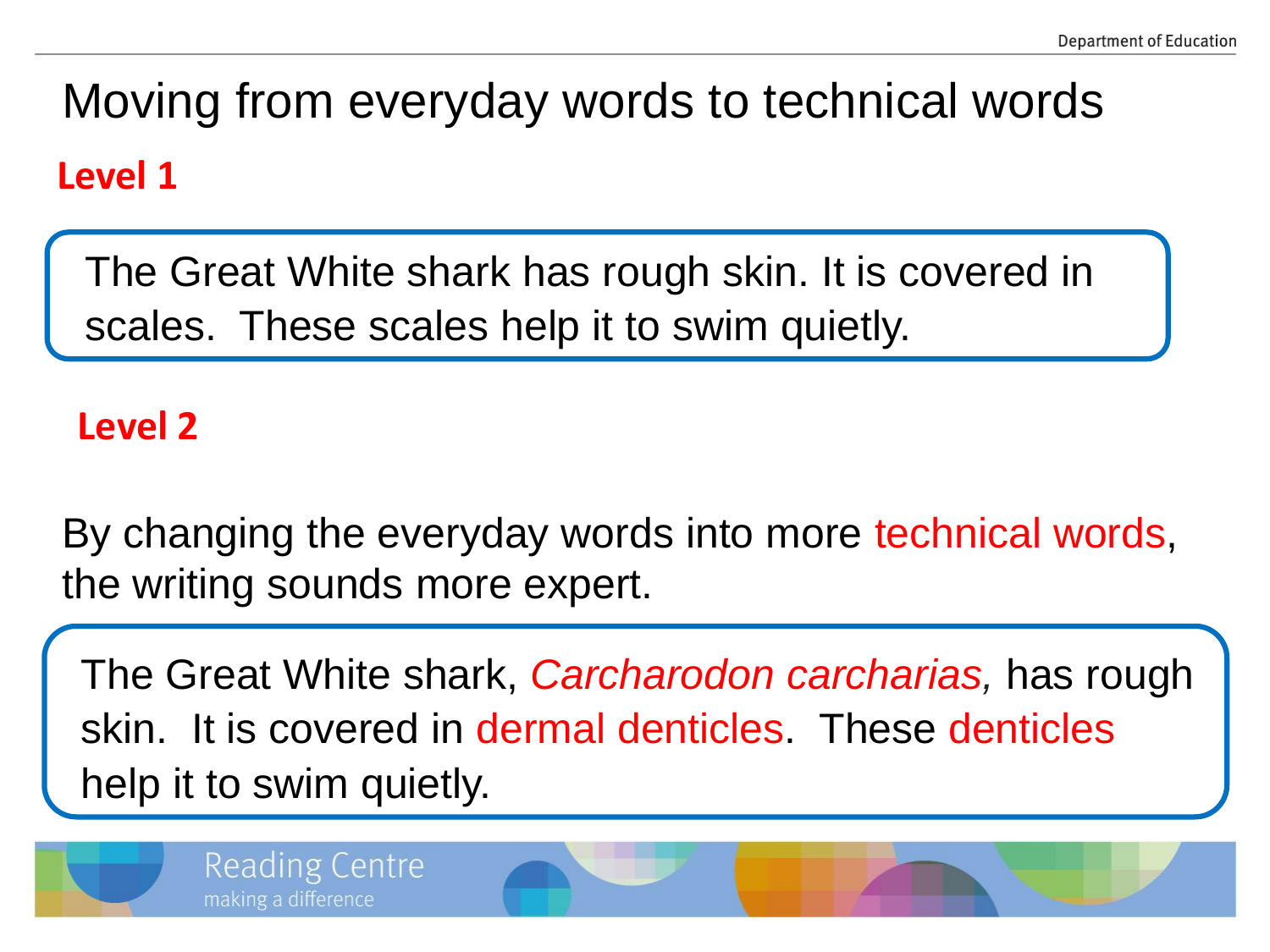# Moving from everyday words to technical words **Level 1**

The Great White shark has rough skin. It is covered in scales. These scales help it to swim quietly.

#### **Level 2**

By changing the everyday words into more technical words, the writing sounds more expert.

The Great White shark, *Carcharodon carcharias,* has rough skin. It is covered in dermal denticles. These denticles help it to swim quietly.



**Reading Centre** 

making a difference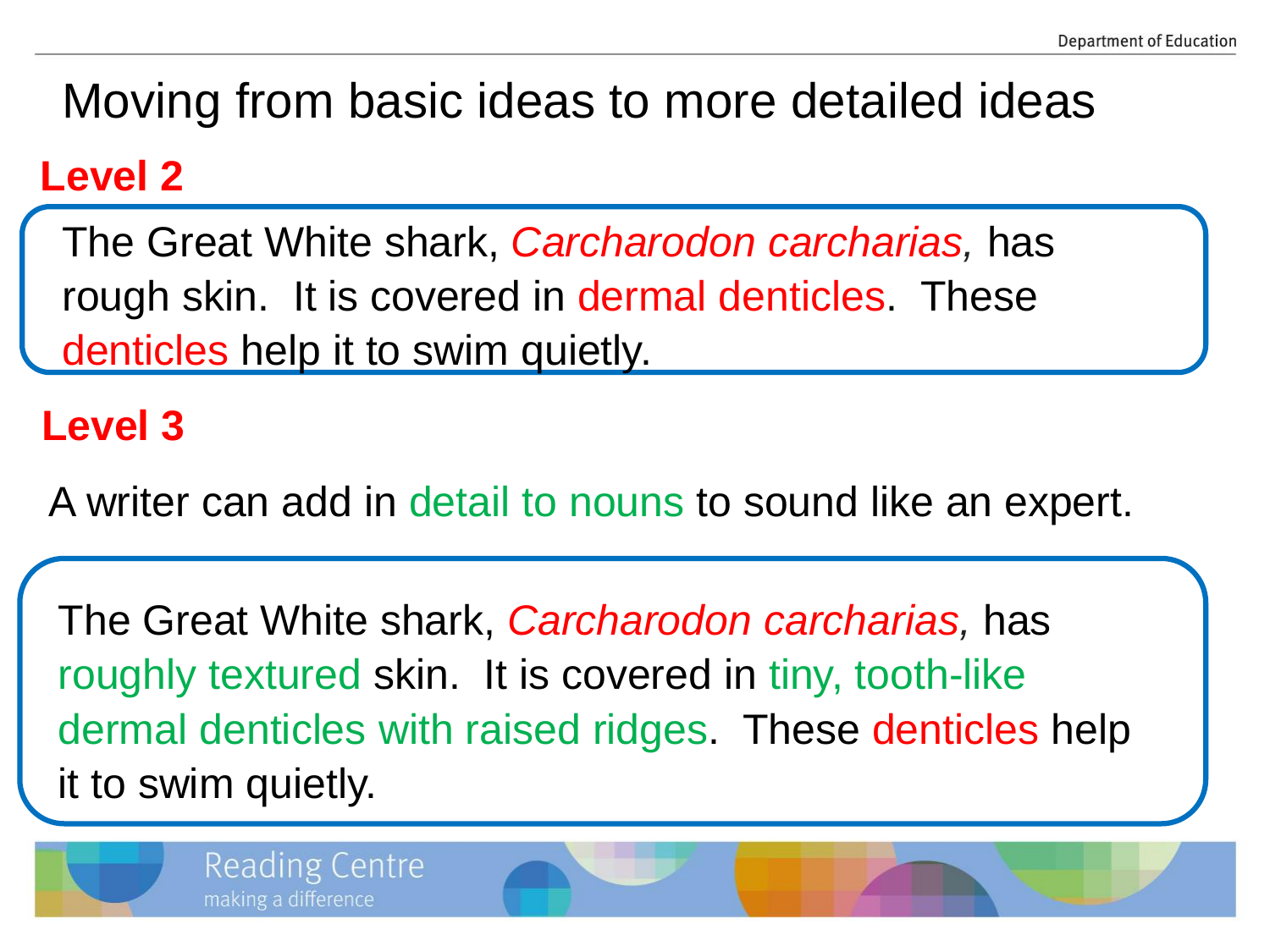# Moving from basic ideas to more detailed ideas

#### **Level 2**

The Great White shark, *Carcharodon carcharias,* has rough skin. It is covered in dermal denticles. These denticles help it to swim quietly.

#### **Level 3**

A writer can add in detail to nouns to sound like an expert.

The Great White shark, *Carcharodon carcharias,* has roughly textured skin. It is covered in tiny, tooth-like dermal denticles with raised ridges. These denticles help it to swim quietly.



**Reading Centre** 

making a difference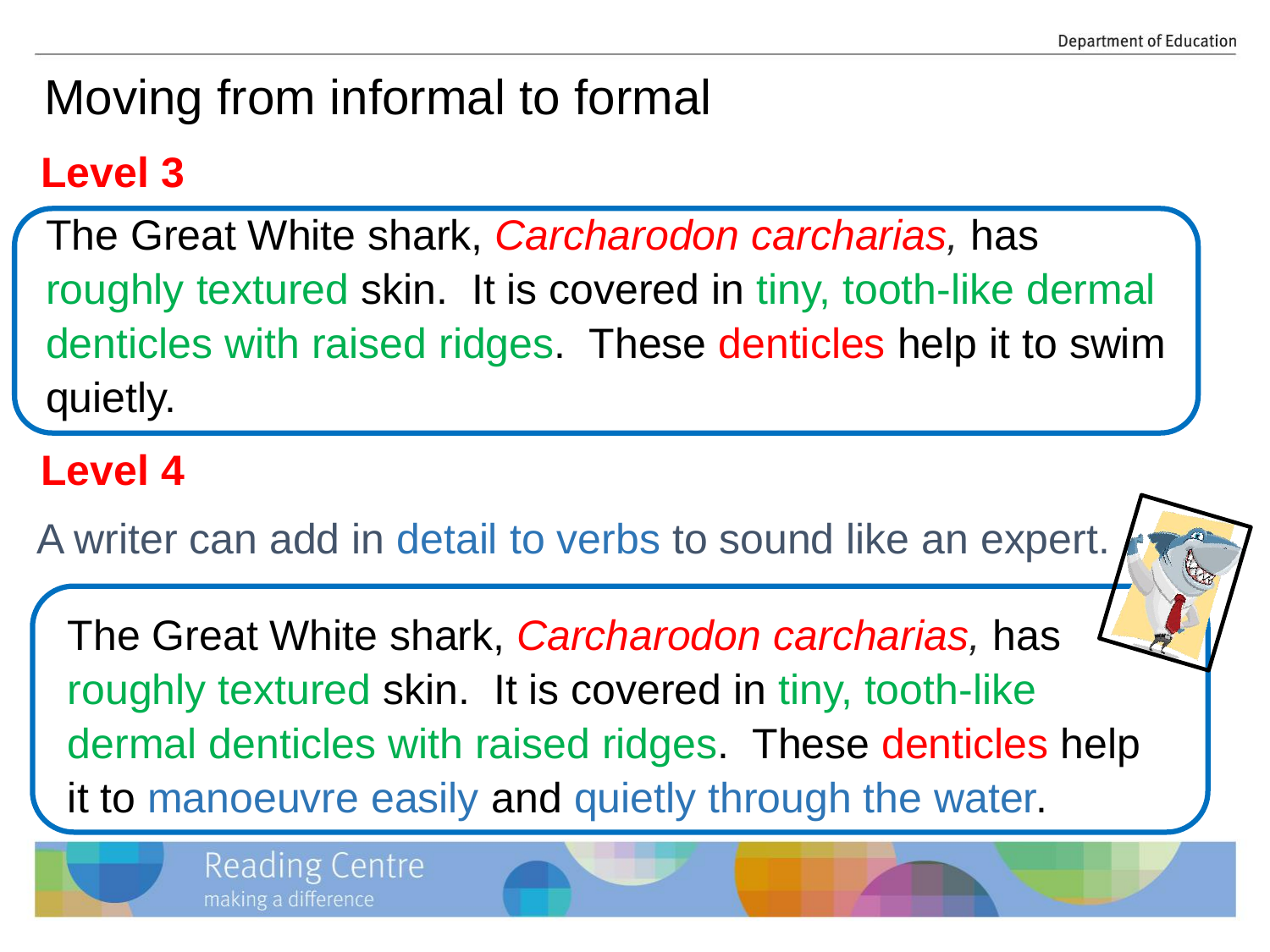## Moving from informal to formal

#### **Level 3**

The Great White shark, *Carcharodon carcharias,* has roughly textured skin. It is covered in tiny, tooth-like dermal denticles with raised ridges. These denticles help it to swim quietly.

#### **Level 4**

A writer can add in detail to verbs to sound like an expert.

The Great White shark, *Carcharodon carcharias,* has roughly textured skin. It is covered in tiny, tooth-like dermal denticles with raised ridges. These denticles help it to manoeuvre easily and quietly through the water.

> **Reading Centre** making a difference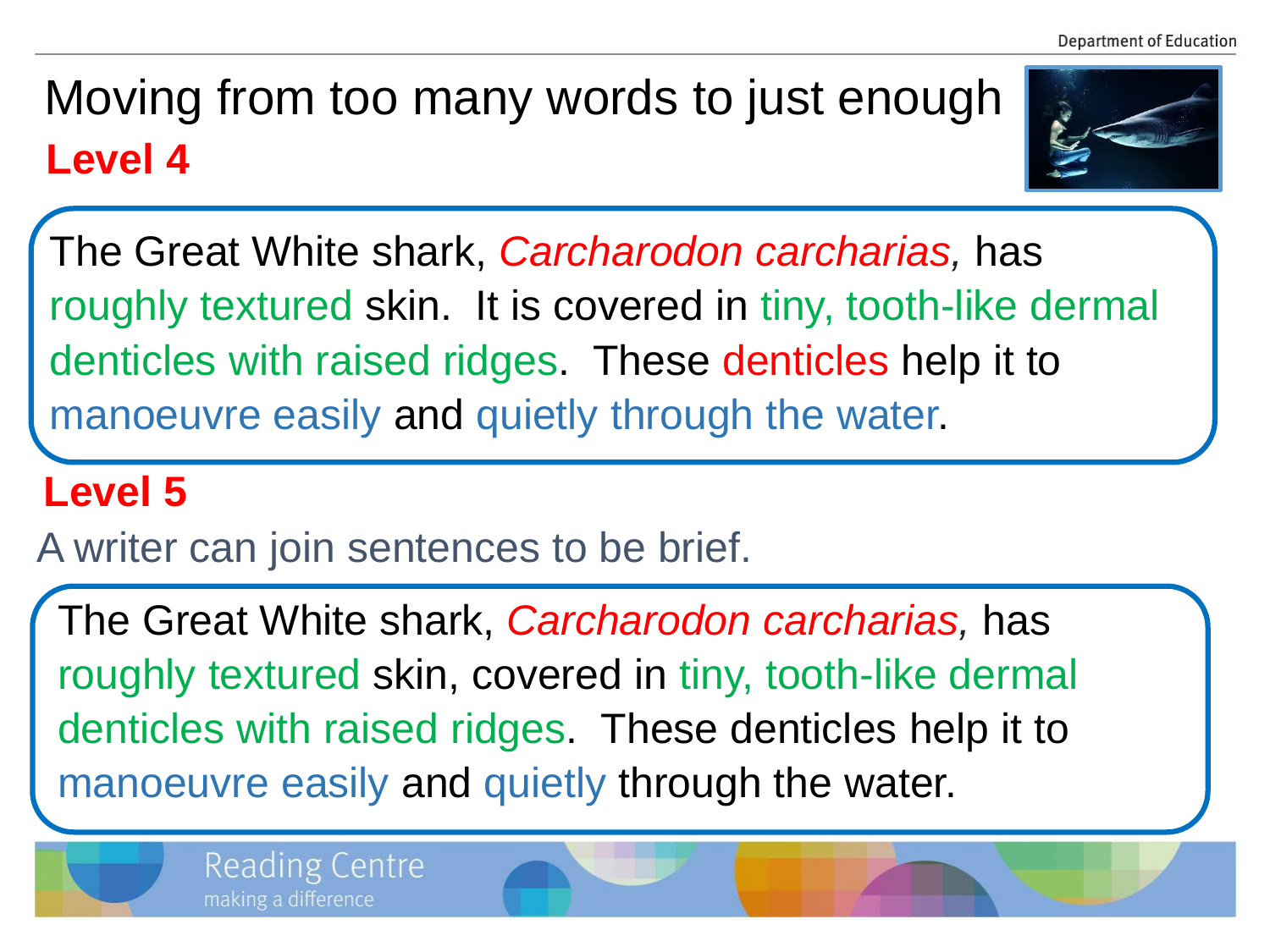## **Level 4** Moving from too many words to just enough



The Great White shark, *Carcharodon carcharias,* has roughly textured skin. It is covered in tiny, tooth-like dermal denticles with raised ridges. These denticles help it to manoeuvre easily and quietly through the water.

### **Level 5**

A writer can join sentences to be brief.

The Great White shark, *Carcharodon carcharias,* has roughly textured skin, covered in tiny, tooth-like dermal denticles with raised ridges. These denticles help it to manoeuvre easily and quietly through the water.

> **Reading Centre** making a difference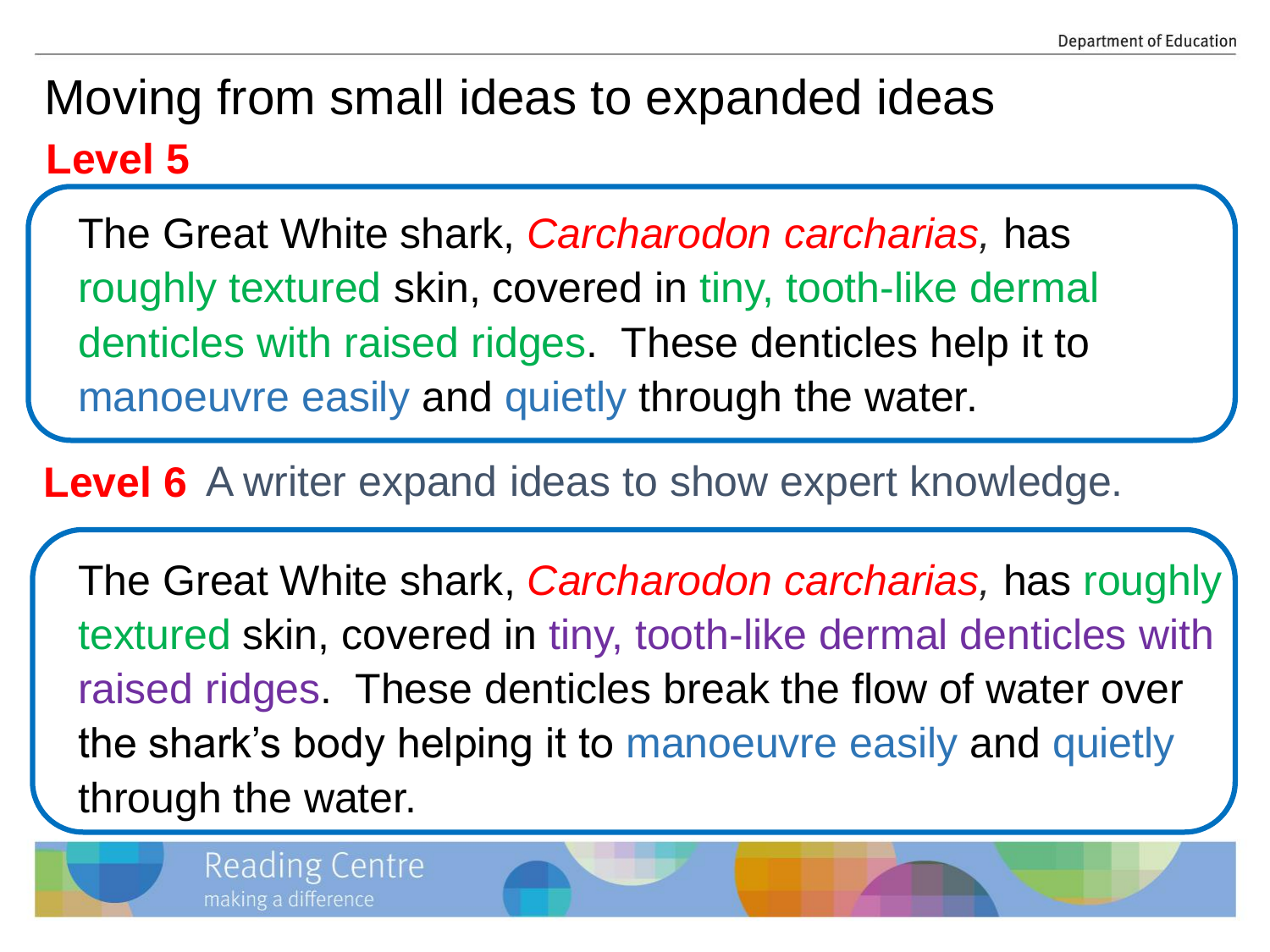### **Level 5** Moving from small ideas to expanded ideas

The Great White shark, *Carcharodon carcharias,* has roughly textured skin, covered in tiny, tooth-like dermal denticles with raised ridges. These denticles help it to manoeuvre easily and quietly through the water.

Level 6 A writer expand ideas to show expert knowledge.

The Great White shark, *Carcharodon carcharias,* has roughly textured skin, covered in tiny, tooth-like dermal denticles with raised ridges. These denticles break the flow of water over the shark's body helping it to manoeuvre easily and quietly through the water.

> **Reading Centre** making a difference